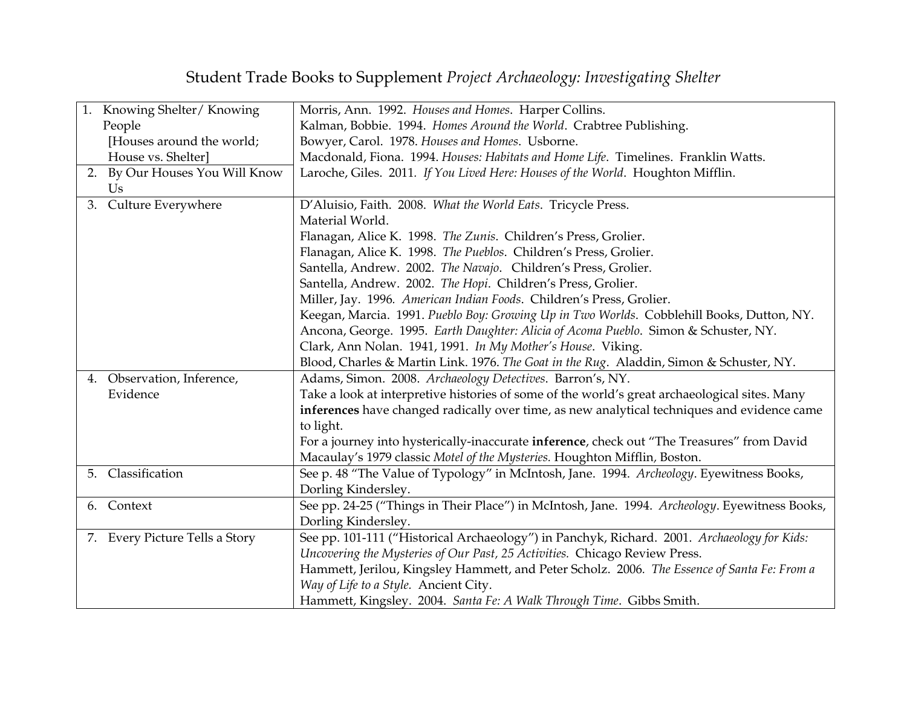## Student Trade Books to Supplement *Project Archaeology: Investigating Shelter*

| 1. Knowing Shelter/Knowing     | Morris, Ann. 1992. Houses and Homes. Harper Collins.                                           |
|--------------------------------|------------------------------------------------------------------------------------------------|
| People                         | Kalman, Bobbie. 1994. Homes Around the World. Crabtree Publishing.                             |
| [Houses around the world;      | Bowyer, Carol. 1978. Houses and Homes. Usborne.                                                |
| House vs. Shelter]             | Macdonald, Fiona. 1994. Houses: Habitats and Home Life. Timelines. Franklin Watts.             |
| 2. By Our Houses You Will Know | Laroche, Giles. 2011. If You Lived Here: Houses of the World. Houghton Mifflin.                |
| Us                             |                                                                                                |
| 3. Culture Everywhere          | D'Aluisio, Faith. 2008. What the World Eats. Tricycle Press.                                   |
|                                | Material World.                                                                                |
|                                | Flanagan, Alice K. 1998. The Zunis. Children's Press, Grolier.                                 |
|                                | Flanagan, Alice K. 1998. The Pueblos. Children's Press, Grolier.                               |
|                                | Santella, Andrew. 2002. The Navajo. Children's Press, Grolier.                                 |
|                                | Santella, Andrew. 2002. The Hopi. Children's Press, Grolier.                                   |
|                                | Miller, Jay. 1996. American Indian Foods. Children's Press, Grolier.                           |
|                                | Keegan, Marcia. 1991. Pueblo Boy: Growing Up in Two Worlds. Cobblehill Books, Dutton, NY.      |
|                                | Ancona, George. 1995. Earth Daughter: Alicia of Acoma Pueblo. Simon & Schuster, NY.            |
|                                | Clark, Ann Nolan. 1941, 1991. In My Mother's House. Viking.                                    |
|                                | Blood, Charles & Martin Link. 1976. The Goat in the Rug. Aladdin, Simon & Schuster, NY.        |
| 4. Observation, Inference,     | Adams, Simon. 2008. Archaeology Detectives. Barron's, NY.                                      |
| Evidence                       | Take a look at interpretive histories of some of the world's great archaeological sites. Many  |
|                                | inferences have changed radically over time, as new analytical techniques and evidence came    |
|                                | to light.                                                                                      |
|                                | For a journey into hysterically-inaccurate inference, check out "The Treasures" from David     |
|                                | Macaulay's 1979 classic Motel of the Mysteries. Houghton Mifflin, Boston.                      |
| 5. Classification              | See p. 48 "The Value of Typology" in McIntosh, Jane. 1994. Archeology. Eyewitness Books,       |
|                                | Dorling Kindersley.                                                                            |
| 6. Context                     | See pp. 24-25 ("Things in Their Place") in McIntosh, Jane. 1994. Archeology. Eyewitness Books, |
|                                | Dorling Kindersley.                                                                            |
| 7. Every Picture Tells a Story | See pp. 101-111 ("Historical Archaeology") in Panchyk, Richard. 2001. Archaeology for Kids:    |
|                                | Uncovering the Mysteries of Our Past, 25 Activities. Chicago Review Press.                     |
|                                | Hammett, Jerilou, Kingsley Hammett, and Peter Scholz. 2006. The Essence of Santa Fe: From a    |
|                                | Way of Life to a Style. Ancient City.                                                          |
|                                | Hammett, Kingsley. 2004. Santa Fe: A Walk Through Time. Gibbs Smith.                           |